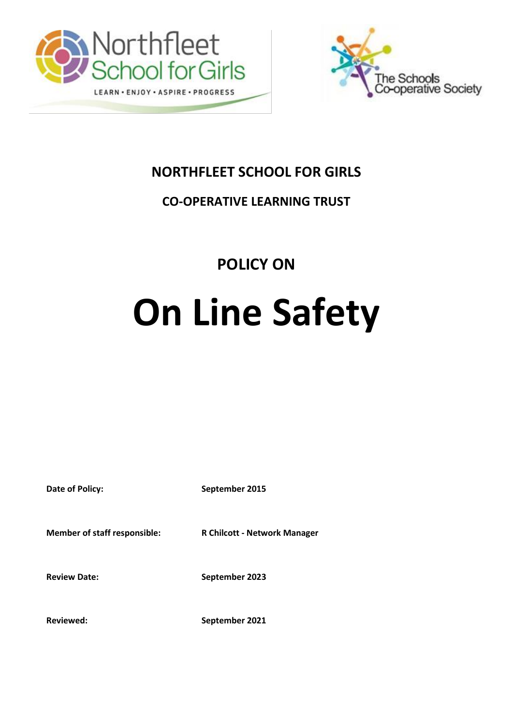



## **NORTHFLEET SCHOOL FOR GIRLS**

## **CO-OPERATIVE LEARNING TRUST**

# **POLICY ON**

# **On Line Safety**

**Date of Policy:** September 2015

**Member of staff responsible: R Chilcott - Network Manager**

Review Date: September 2023

**Reviewed: September 2021**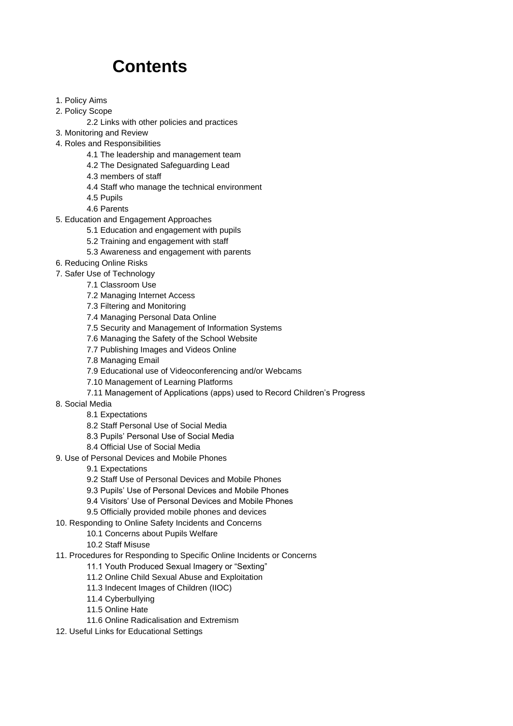# **Contents**

- 1. Policy Aims
- 2. Policy Scope
	- 2.2 Links with other policies and practices
- 3. Monitoring and Review
- 4. Roles and Responsibilities
	- 4.1 The leadership and management team
	- 4.2 The Designated Safeguarding Lead
	- 4.3 members of staff
	- 4.4 Staff who manage the technical environment
	- 4.5 Pupils
	- 4.6 Parents
- 5. Education and Engagement Approaches
	- 5.1 Education and engagement with pupils
	- 5.2 Training and engagement with staff
	- 5.3 Awareness and engagement with parents
- 6. Reducing Online Risks
- 7. Safer Use of Technology
	- 7.1 Classroom Use
	- 7.2 Managing Internet Access
	- 7.3 Filtering and Monitoring
	- 7.4 Managing Personal Data Online
	- 7.5 Security and Management of Information Systems
	- 7.6 Managing the Safety of the School Website
	- 7.7 Publishing Images and Videos Online
	- 7.8 Managing Email
	- 7.9 Educational use of Videoconferencing and/or Webcams
	- 7.10 Management of Learning Platforms
	- 7.11 Management of Applications (apps) used to Record Children's Progress
- 8. Social Media
	- 8.1 Expectations
	- 8.2 Staff Personal Use of Social Media
	- 8.3 Pupils' Personal Use of Social Media
	- 8.4 Official Use of Social Media
- 9. Use of Personal Devices and Mobile Phones
	- 9.1 Expectations
	- 9.2 Staff Use of Personal Devices and Mobile Phones
	- 9.3 Pupils' Use of Personal Devices and Mobile Phones
	- 9.4 Visitors' Use of Personal Devices and Mobile Phones
	- 9.5 Officially provided mobile phones and devices
- 10. Responding to Online Safety Incidents and Concerns
	- 10.1 Concerns about Pupils Welfare
	- 10.2 Staff Misuse
- 11. Procedures for Responding to Specific Online Incidents or Concerns
	- 11.1 Youth Produced Sexual Imagery or "Sexting"
	- 11.2 Online Child Sexual Abuse and Exploitation
	- 11.3 Indecent Images of Children (IIOC)
	- 11.4 Cyberbullying
	- 11.5 Online Hate
	- 11.6 Online Radicalisation and Extremism
- 12. Useful Links for Educational Settings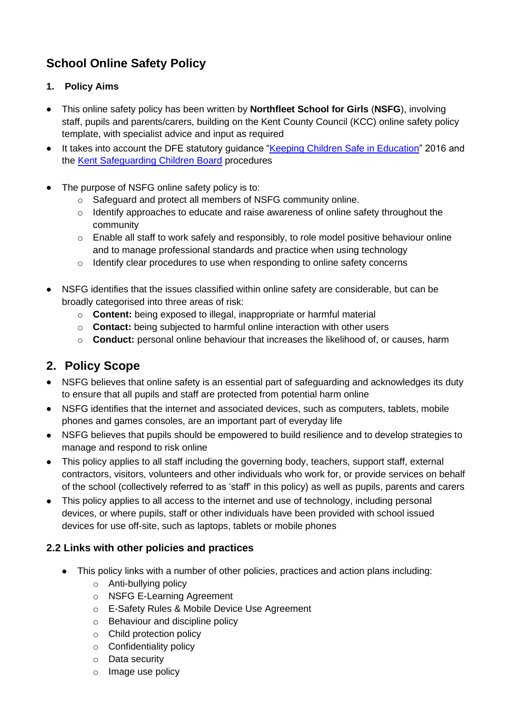## **School Online Safety Policy**

#### **1. Policy Aims**

- This online safety policy has been written by **Northfleet School for Girls** (**NSFG**), involving staff, pupils and parents/carers, building on the Kent County Council (KCC) online safety policy template, with specialist advice and input as required
- It takes into account the DFE statutory guidance ["Keeping Children Safe in Education"](https://www.gov.uk/government/publications/keeping-children-safe-in-education--2) 2016 and the [Kent Safeguarding Children Board](http://www.kscb.org.uk/) procedures
- The purpose of NSFG online safety policy is to:
	- o Safeguard and protect all members of NSFG community online.
	- o Identify approaches to educate and raise awareness of online safety throughout the community
	- o Enable all staff to work safely and responsibly, to role model positive behaviour online and to manage professional standards and practice when using technology
	- o Identify clear procedures to use when responding to online safety concerns
- NSFG identifies that the issues classified within online safety are considerable, but can be broadly categorised into three areas of risk:
	- o **Content:** being exposed to illegal, inappropriate or harmful material
	- o **Contact:** being subjected to harmful online interaction with other users
	- o **Conduct:** personal online behaviour that increases the likelihood of, or causes, harm

## **2. Policy Scope**

- NSFG believes that online safety is an essential part of safeguarding and acknowledges its duty to ensure that all pupils and staff are protected from potential harm online
- NSFG identifies that the internet and associated devices, such as computers, tablets, mobile phones and games consoles, are an important part of everyday life
- NSFG believes that pupils should be empowered to build resilience and to develop strategies to manage and respond to risk online
- This policy applies to all staff including the governing body, teachers, support staff, external contractors, visitors, volunteers and other individuals who work for, or provide services on behalf of the school (collectively referred to as 'staff' in this policy) as well as pupils, parents and carers
- This policy applies to all access to the internet and use of technology, including personal devices, or where pupils, staff or other individuals have been provided with school issued devices for use off-site, such as laptops, tablets or mobile phones

#### **2.2 Links with other policies and practices**

- This policy links with a number of other policies, practices and action plans including:
	- o Anti-bullying policy
	- o NSFG E-Learning Agreement
	- o E-Safety Rules & Mobile Device Use Agreement
	- o Behaviour and discipline policy
	- o Child protection policy
	- o Confidentiality policy
	- o Data security
	- o Image use policy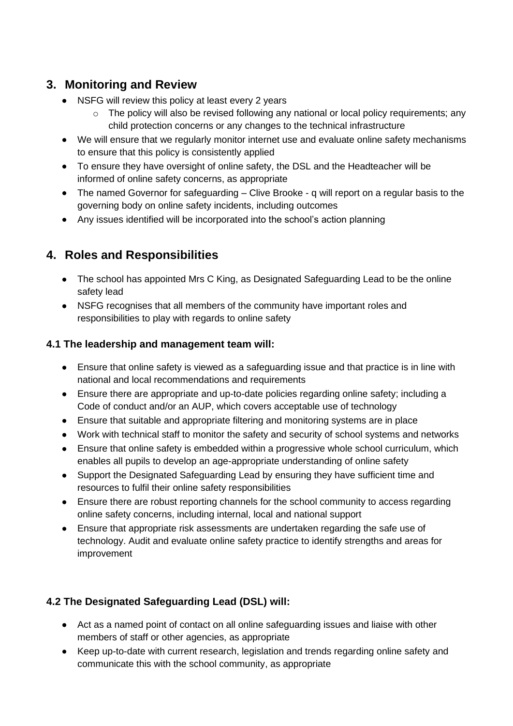## **3. Monitoring and Review**

- NSFG will review this policy at least every 2 years
	- o The policy will also be revised following any national or local policy requirements; any child protection concerns or any changes to the technical infrastructure
- We will ensure that we regularly monitor internet use and evaluate online safety mechanisms to ensure that this policy is consistently applied
- To ensure they have oversight of online safety, the DSL and the Headteacher will be informed of online safety concerns, as appropriate
- The named Governor for safeguarding Clive Brooke q will report on a regular basis to the governing body on online safety incidents, including outcomes
- Any issues identified will be incorporated into the school's action planning

## **4. Roles and Responsibilities**

- The school has appointed Mrs C King, as Designated Safeguarding Lead to be the online safety lead
- NSFG recognises that all members of the community have important roles and responsibilities to play with regards to online safety

#### **4.1 The leadership and management team will:**

- Ensure that online safety is viewed as a safeguarding issue and that practice is in line with national and local recommendations and requirements
- Ensure there are appropriate and up-to-date policies regarding online safety; including a Code of conduct and/or an AUP, which covers acceptable use of technology
- Ensure that suitable and appropriate filtering and monitoring systems are in place
- Work with technical staff to monitor the safety and security of school systems and networks
- Ensure that online safety is embedded within a progressive whole school curriculum, which enables all pupils to develop an age-appropriate understanding of online safety
- Support the Designated Safeguarding Lead by ensuring they have sufficient time and resources to fulfil their online safety responsibilities
- Ensure there are robust reporting channels for the school community to access regarding online safety concerns, including internal, local and national support
- Ensure that appropriate risk assessments are undertaken regarding the safe use of technology. Audit and evaluate online safety practice to identify strengths and areas for improvement

#### **4.2 The Designated Safeguarding Lead (DSL) will:**

- Act as a named point of contact on all online safeguarding issues and liaise with other members of staff or other agencies, as appropriate
- Keep up-to-date with current research, legislation and trends regarding online safety and communicate this with the school community, as appropriate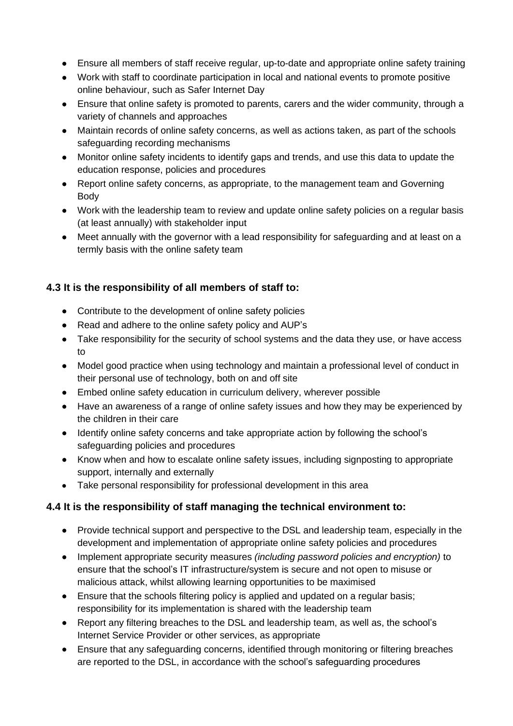- Ensure all members of staff receive regular, up-to-date and appropriate online safety training
- Work with staff to coordinate participation in local and national events to promote positive online behaviour, such as Safer Internet Day
- Ensure that online safety is promoted to parents, carers and the wider community, through a variety of channels and approaches
- Maintain records of online safety concerns, as well as actions taken, as part of the schools safeguarding recording mechanisms
- Monitor online safety incidents to identify gaps and trends, and use this data to update the education response, policies and procedures
- Report online safety concerns, as appropriate, to the management team and Governing Body
- Work with the leadership team to review and update online safety policies on a regular basis (at least annually) with stakeholder input
- Meet annually with the governor with a lead responsibility for safeguarding and at least on a termly basis with the online safety team

#### **4.3 It is the responsibility of all members of staff to:**

- Contribute to the development of online safety policies
- Read and adhere to the online safety policy and AUP's
- Take responsibility for the security of school systems and the data they use, or have access to
- Model good practice when using technology and maintain a professional level of conduct in their personal use of technology, both on and off site
- Embed online safety education in curriculum delivery, wherever possible
- Have an awareness of a range of online safety issues and how they may be experienced by the children in their care
- Identify online safety concerns and take appropriate action by following the school's safeguarding policies and procedures
- Know when and how to escalate online safety issues, including signposting to appropriate support, internally and externally
- Take personal responsibility for professional development in this area

#### **4.4 It is the responsibility of staff managing the technical environment to:**

- Provide technical support and perspective to the DSL and leadership team, especially in the development and implementation of appropriate online safety policies and procedures
- Implement appropriate security measures *(including password policies and encryption)* to ensure that the school's IT infrastructure/system is secure and not open to misuse or malicious attack, whilst allowing learning opportunities to be maximised
- Ensure that the schools filtering policy is applied and updated on a regular basis; responsibility for its implementation is shared with the leadership team
- Report any filtering breaches to the DSL and leadership team, as well as, the school's Internet Service Provider or other services, as appropriate
- Ensure that any safeguarding concerns, identified through monitoring or filtering breaches are reported to the DSL, in accordance with the school's safeguarding procedures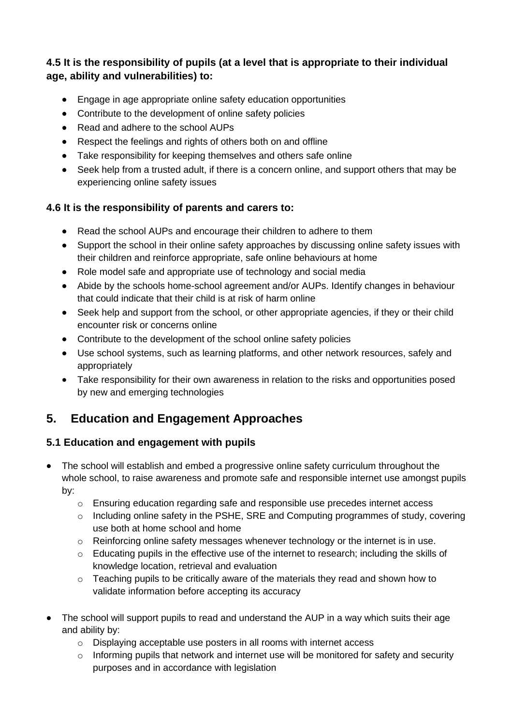#### **4.5 It is the responsibility of pupils (at a level that is appropriate to their individual age, ability and vulnerabilities) to:**

- Engage in age appropriate online safety education opportunities
- Contribute to the development of online safety policies
- Read and adhere to the school AUPs
- Respect the feelings and rights of others both on and offline
- Take responsibility for keeping themselves and others safe online
- Seek help from a trusted adult, if there is a concern online, and support others that may be experiencing online safety issues

#### **4.6 It is the responsibility of parents and carers to:**

- Read the school AUPs and encourage their children to adhere to them
- Support the school in their online safety approaches by discussing online safety issues with their children and reinforce appropriate, safe online behaviours at home
- Role model safe and appropriate use of technology and social media
- Abide by the schools home-school agreement and/or AUPs. Identify changes in behaviour that could indicate that their child is at risk of harm online
- Seek help and support from the school, or other appropriate agencies, if they or their child encounter risk or concerns online
- Contribute to the development of the school online safety policies
- Use school systems, such as learning platforms, and other network resources, safely and appropriately
- Take responsibility for their own awareness in relation to the risks and opportunities posed by new and emerging technologies

## **5. Education and Engagement Approaches**

#### **5.1 Education and engagement with pupils**

- The school will establish and embed a progressive online safety curriculum throughout the whole school, to raise awareness and promote safe and responsible internet use amongst pupils by:
	- o Ensuring education regarding safe and responsible use precedes internet access
	- $\circ$  Including online safety in the PSHE, SRE and Computing programmes of study, covering use both at home school and home
	- o Reinforcing online safety messages whenever technology or the internet is in use.
	- $\circ$  Educating pupils in the effective use of the internet to research; including the skills of knowledge location, retrieval and evaluation
	- o Teaching pupils to be critically aware of the materials they read and shown how to validate information before accepting its accuracy
- The school will support pupils to read and understand the AUP in a way which suits their age and ability by:
	- o Displaying acceptable use posters in all rooms with internet access
	- o Informing pupils that network and internet use will be monitored for safety and security purposes and in accordance with legislation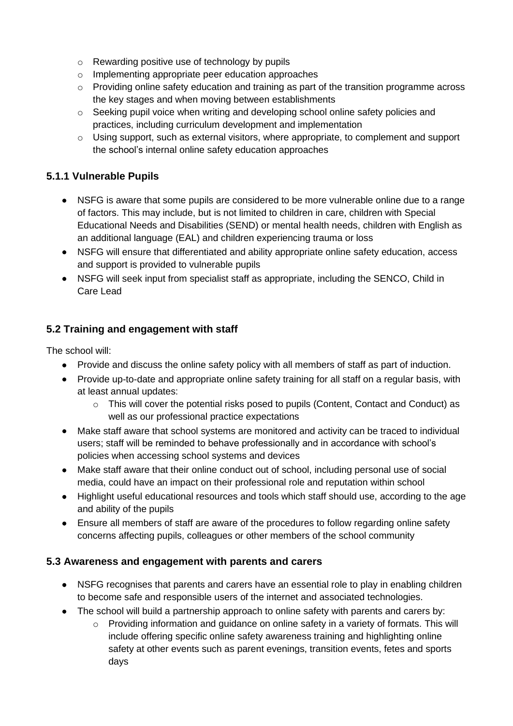- o Rewarding positive use of technology by pupils
- o Implementing appropriate peer education approaches
- $\circ$  Providing online safety education and training as part of the transition programme across the key stages and when moving between establishments
- o Seeking pupil voice when writing and developing school online safety policies and practices, including curriculum development and implementation
- o Using support, such as external visitors, where appropriate, to complement and support the school's internal online safety education approaches

#### **5.1.1 Vulnerable Pupils**

- NSFG is aware that some pupils are considered to be more vulnerable online due to a range of factors. This may include, but is not limited to children in care, children with Special Educational Needs and Disabilities (SEND) or mental health needs, children with English as an additional language (EAL) and children experiencing trauma or loss
- NSFG will ensure that differentiated and ability appropriate online safety education, access and support is provided to vulnerable pupils
- NSFG will seek input from specialist staff as appropriate, including the SENCO, Child in Care Lead

#### **5.2 Training and engagement with staff**

The school will:

- Provide and discuss the online safety policy with all members of staff as part of induction.
- Provide up-to-date and appropriate online safety training for all staff on a regular basis, with at least annual updates:
	- $\circ$  This will cover the potential risks posed to pupils (Content, Contact and Conduct) as well as our professional practice expectations
- Make staff aware that school systems are monitored and activity can be traced to individual users; staff will be reminded to behave professionally and in accordance with school's policies when accessing school systems and devices
- Make staff aware that their online conduct out of school, including personal use of social media, could have an impact on their professional role and reputation within school
- Highlight useful educational resources and tools which staff should use, according to the age and ability of the pupils
- Ensure all members of staff are aware of the procedures to follow regarding online safety concerns affecting pupils, colleagues or other members of the school community

#### **5.3 Awareness and engagement with parents and carers**

- NSFG recognises that parents and carers have an essential role to play in enabling children to become safe and responsible users of the internet and associated technologies.
- The school will build a partnership approach to online safety with parents and carers by:
	- $\circ$  Providing information and quidance on online safety in a variety of formats. This will include offering specific online safety awareness training and highlighting online safety at other events such as parent evenings, transition events, fetes and sports days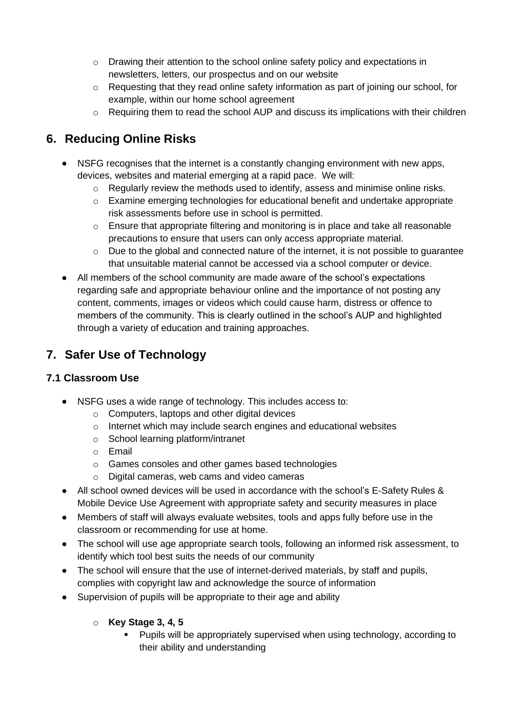- $\circ$  Drawing their attention to the school online safety policy and expectations in newsletters, letters, our prospectus and on our website
- $\circ$  Requesting that they read online safety information as part of joining our school, for example, within our home school agreement
- o Requiring them to read the school AUP and discuss its implications with their children

## **6. Reducing Online Risks**

- NSFG recognises that the internet is a constantly changing environment with new apps, devices, websites and material emerging at a rapid pace. We will:
	- o Regularly review the methods used to identify, assess and minimise online risks.
	- $\circ$  Examine emerging technologies for educational benefit and undertake appropriate risk assessments before use in school is permitted.
	- $\circ$  Ensure that appropriate filtering and monitoring is in place and take all reasonable precautions to ensure that users can only access appropriate material.
	- o Due to the global and connected nature of the internet, it is not possible to guarantee that unsuitable material cannot be accessed via a school computer or device.
- All members of the school community are made aware of the school's expectations regarding safe and appropriate behaviour online and the importance of not posting any content, comments, images or videos which could cause harm, distress or offence to members of the community. This is clearly outlined in the school's AUP and highlighted through a variety of education and training approaches.

## **7. Safer Use of Technology**

#### **7.1 Classroom Use**

- NSFG uses a wide range of technology. This includes access to:
	- $\circ$  Computers, laptops and other digital devices
	- o Internet which may include search engines and educational websites
	- o School learning platform/intranet
	- o Email
	- o Games consoles and other games based technologies
	- o Digital cameras, web cams and video cameras
- All school owned devices will be used in accordance with the school's E-Safety Rules & Mobile Device Use Agreement with appropriate safety and security measures in place
- Members of staff will always evaluate websites, tools and apps fully before use in the classroom or recommending for use at home.
- The school will use age appropriate search tools, following an informed risk assessment, to identify which tool best suits the needs of our community
- The school will ensure that the use of internet-derived materials, by staff and pupils, complies with copyright law and acknowledge the source of information
- Supervision of pupils will be appropriate to their age and ability
	- o **Key Stage 3, 4, 5**
		- Pupils will be appropriately supervised when using technology, according to their ability and understanding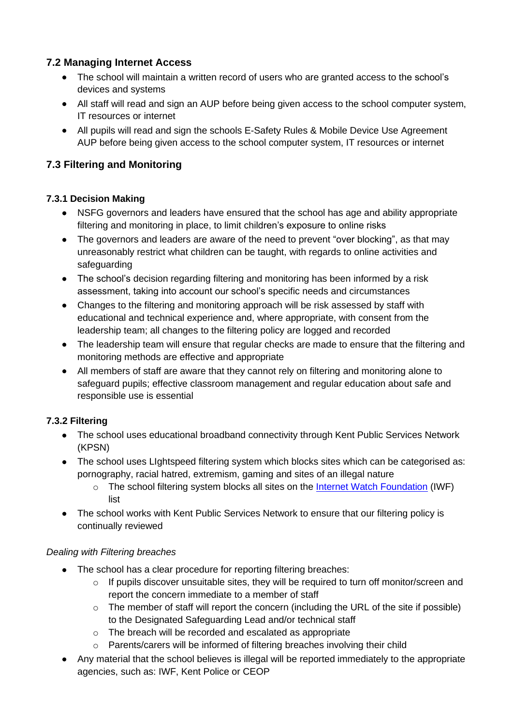#### **7.2 Managing Internet Access**

- The school will maintain a written record of users who are granted access to the school's devices and systems
- All staff will read and sign an AUP before being given access to the school computer system, IT resources or internet
- All pupils will read and sign the schools E-Safety Rules & Mobile Device Use Agreement AUP before being given access to the school computer system, IT resources or internet

#### **7.3 Filtering and Monitoring**

#### **7.3.1 Decision Making**

- NSFG governors and leaders have ensured that the school has age and ability appropriate filtering and monitoring in place, to limit children's exposure to online risks
- The governors and leaders are aware of the need to prevent "over blocking", as that may unreasonably restrict what children can be taught, with regards to online activities and safeguarding
- The school's decision regarding filtering and monitoring has been informed by a risk assessment, taking into account our school's specific needs and circumstances
- Changes to the filtering and monitoring approach will be risk assessed by staff with educational and technical experience and, where appropriate, with consent from the leadership team; all changes to the filtering policy are logged and recorded
- The leadership team will ensure that regular checks are made to ensure that the filtering and monitoring methods are effective and appropriate
- All members of staff are aware that they cannot rely on filtering and monitoring alone to safeguard pupils; effective classroom management and regular education about safe and responsible use is essential

#### **7.3.2 Filtering**

- The school uses educational broadband connectivity through Kent Public Services Network (KPSN)
- The school uses LIghtspeed filtering system which blocks sites which can be categorised as: pornography, racial hatred, extremism, gaming and sites of an illegal nature
	- o The school filtering system blocks all sites on the [Internet Watch Foundation](https://www.iwf.org.uk/) (IWF) list
- The school works with Kent Public Services Network to ensure that our filtering policy is continually reviewed

#### *Dealing with Filtering breaches*

- The school has a clear procedure for reporting filtering breaches:
	- $\circ$  If pupils discover unsuitable sites, they will be required to turn off monitor/screen and report the concern immediate to a member of staff
	- o The member of staff will report the concern (including the URL of the site if possible) to the Designated Safeguarding Lead and/or technical staff
	- o The breach will be recorded and escalated as appropriate
	- o Parents/carers will be informed of filtering breaches involving their child
- Any material that the school believes is illegal will be reported immediately to the appropriate agencies, such as: IWF, Kent Police or CEOP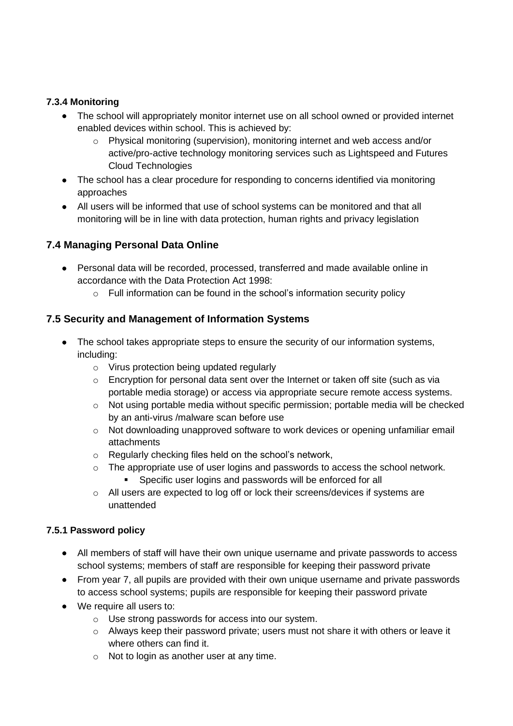#### **7.3.4 Monitoring**

- The school will appropriately monitor internet use on all school owned or provided internet enabled devices within school. This is achieved by:
	- o Physical monitoring (supervision), monitoring internet and web access and/or active/pro-active technology monitoring services such as Lightspeed and Futures Cloud Technologies
- The school has a clear procedure for responding to concerns identified via monitoring approaches
- All users will be informed that use of school systems can be monitored and that all monitoring will be in line with data protection, human rights and privacy legislation

#### **7.4 Managing Personal Data Online**

- Personal data will be recorded, processed, transferred and made available online in accordance with the Data Protection Act 1998:
	- o Full information can be found in the school's information security policy

#### **7.5 Security and Management of Information Systems**

- The school takes appropriate steps to ensure the security of our information systems, including:
	- o Virus protection being updated regularly
	- o Encryption for personal data sent over the Internet or taken off site (such as via portable media storage) or access via appropriate secure remote access systems.
	- o Not using portable media without specific permission; portable media will be checked by an anti-virus /malware scan before use
	- $\circ$  Not downloading unapproved software to work devices or opening unfamiliar email attachments
	- o Regularly checking files held on the school's network,
	- $\circ$  The appropriate use of user logins and passwords to access the school network. **EXECT:** Specific user logins and passwords will be enforced for all
	- o All users are expected to log off or lock their screens/devices if systems are unattended

#### **7.5.1 Password policy**

- All members of staff will have their own unique username and private passwords to access school systems; members of staff are responsible for keeping their password private
- From year 7, all pupils are provided with their own unique username and private passwords to access school systems; pupils are responsible for keeping their password private
- We require all users to:
	- o Use strong passwords for access into our system.
	- $\circ$  Always keep their password private; users must not share it with others or leave it where others can find it.
	- o Not to login as another user at any time.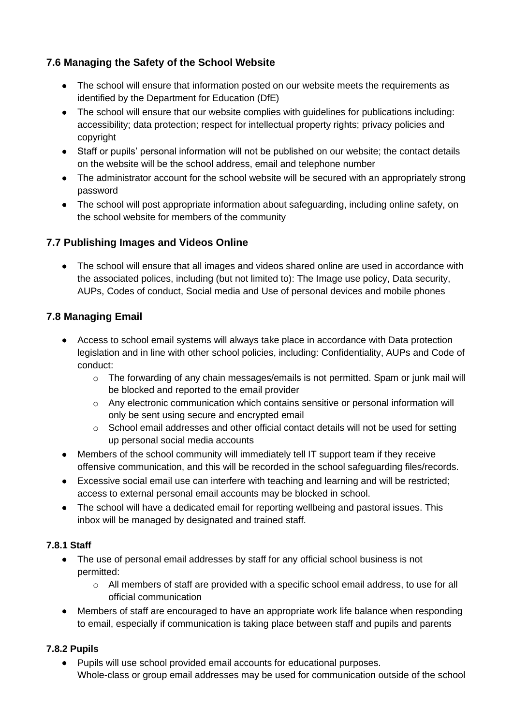#### **7.6 Managing the Safety of the School Website**

- The school will ensure that information posted on our website meets the requirements as identified by the Department for Education (DfE)
- The school will ensure that our website complies with guidelines for publications including: accessibility; data protection; respect for intellectual property rights; privacy policies and copyright
- Staff or pupils' personal information will not be published on our website; the contact details on the website will be the school address, email and telephone number
- The administrator account for the school website will be secured with an appropriately strong password
- The school will post appropriate information about safeguarding, including online safety, on the school website for members of the community

#### **7.7 Publishing Images and Videos Online**

• The school will ensure that all images and videos shared online are used in accordance with the associated polices, including (but not limited to): The Image use policy, Data security, AUPs, Codes of conduct, Social media and Use of personal devices and mobile phones

#### **7.8 Managing Email**

- Access to school email systems will always take place in accordance with Data protection legislation and in line with other school policies, including: Confidentiality, AUPs and Code of conduct:
	- $\circ$  The forwarding of any chain messages/emails is not permitted. Spam or junk mail will be blocked and reported to the email provider
	- $\circ$  Any electronic communication which contains sensitive or personal information will only be sent using secure and encrypted email
	- o School email addresses and other official contact details will not be used for setting up personal social media accounts
- Members of the school community will immediately tell IT support team if they receive offensive communication, and this will be recorded in the school safeguarding files/records.
- Excessive social email use can interfere with teaching and learning and will be restricted; access to external personal email accounts may be blocked in school.
- The school will have a dedicated email for reporting wellbeing and pastoral issues. This inbox will be managed by designated and trained staff.

#### **7.8.1 Staff**

- The use of personal email addresses by staff for any official school business is not permitted:
	- o All members of staff are provided with a specific school email address, to use for all official communication
- Members of staff are encouraged to have an appropriate work life balance when responding to email, especially if communication is taking place between staff and pupils and parents

#### **7.8.2 Pupils**

• Pupils will use school provided email accounts for educational purposes. Whole-class or group email addresses may be used for communication outside of the school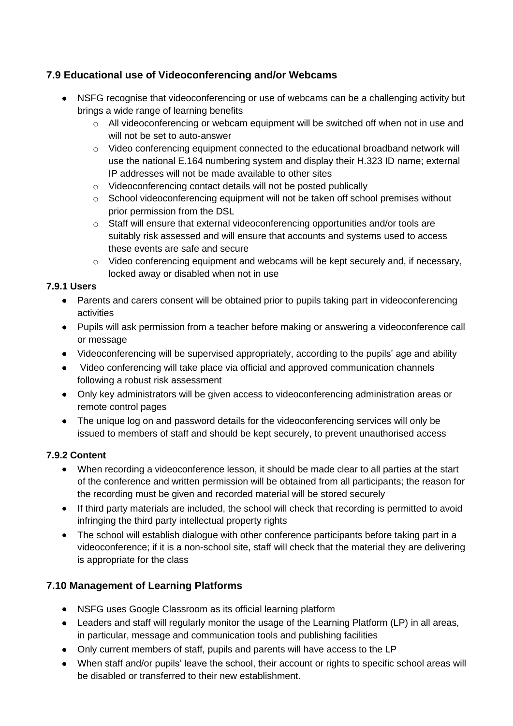#### **7.9 Educational use of Videoconferencing and/or Webcams**

- NSFG recognise that videoconferencing or use of webcams can be a challenging activity but brings a wide range of learning benefits
	- o All videoconferencing or webcam equipment will be switched off when not in use and will not be set to auto-answer
	- $\circ$  Video conferencing equipment connected to the educational broadband network will use the national E.164 numbering system and display their H.323 ID name; external IP addresses will not be made available to other sites
	- o Videoconferencing contact details will not be posted publically
	- o School videoconferencing equipment will not be taken off school premises without prior permission from the DSL
	- o Staff will ensure that external videoconferencing opportunities and/or tools are suitably risk assessed and will ensure that accounts and systems used to access these events are safe and secure
	- $\circ$  Video conferencing equipment and webcams will be kept securely and, if necessary, locked away or disabled when not in use

#### **7.9.1 Users**

- Parents and carers consent will be obtained prior to pupils taking part in videoconferencing activities
- Pupils will ask permission from a teacher before making or answering a videoconference call or message
- Videoconferencing will be supervised appropriately, according to the pupils' age and ability
- Video conferencing will take place via official and approved communication channels following a robust risk assessment
- Only key administrators will be given access to videoconferencing administration areas or remote control pages
- The unique log on and password details for the videoconferencing services will only be issued to members of staff and should be kept securely, to prevent unauthorised access

#### **7.9.2 Content**

- When recording a videoconference lesson, it should be made clear to all parties at the start of the conference and written permission will be obtained from all participants; the reason for the recording must be given and recorded material will be stored securely
- If third party materials are included, the school will check that recording is permitted to avoid infringing the third party intellectual property rights
- The school will establish dialogue with other conference participants before taking part in a videoconference; if it is a non-school site, staff will check that the material they are delivering is appropriate for the class

#### **7.10 Management of Learning Platforms**

- NSFG uses Google Classroom as its official learning platform
- Leaders and staff will regularly monitor the usage of the Learning Platform (LP) in all areas, in particular, message and communication tools and publishing facilities
- Only current members of staff, pupils and parents will have access to the LP
- When staff and/or pupils' leave the school, their account or rights to specific school areas will be disabled or transferred to their new establishment.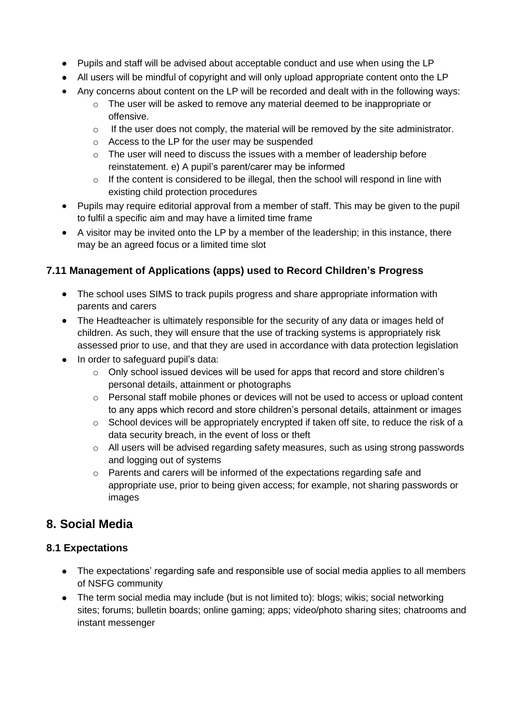- Pupils and staff will be advised about acceptable conduct and use when using the LP
- All users will be mindful of copyright and will only upload appropriate content onto the LP
- Any concerns about content on the LP will be recorded and dealt with in the following ways:
	- o The user will be asked to remove any material deemed to be inappropriate or offensive.
	- $\circ$  If the user does not comply, the material will be removed by the site administrator.
	- o Access to the LP for the user may be suspended
	- $\circ$  The user will need to discuss the issues with a member of leadership before reinstatement. e) A pupil's parent/carer may be informed
	- o If the content is considered to be illegal, then the school will respond in line with existing child protection procedures
- Pupils may require editorial approval from a member of staff. This may be given to the pupil to fulfil a specific aim and may have a limited time frame
- A visitor may be invited onto the LP by a member of the leadership; in this instance, there may be an agreed focus or a limited time slot

#### **7.11 Management of Applications (apps) used to Record Children's Progress**

- The school uses SIMS to track pupils progress and share appropriate information with parents and carers
- The Headteacher is ultimately responsible for the security of any data or images held of children. As such, they will ensure that the use of tracking systems is appropriately risk assessed prior to use, and that they are used in accordance with data protection legislation
- In order to safeguard pupil's data:
	- o Only school issued devices will be used for apps that record and store children's personal details, attainment or photographs
	- $\circ$  Personal staff mobile phones or devices will not be used to access or upload content to any apps which record and store children's personal details, attainment or images
	- o School devices will be appropriately encrypted if taken off site, to reduce the risk of a data security breach, in the event of loss or theft
	- o All users will be advised regarding safety measures, such as using strong passwords and logging out of systems
	- o Parents and carers will be informed of the expectations regarding safe and appropriate use, prior to being given access; for example, not sharing passwords or images

## **8. Social Media**

#### **8.1 Expectations**

- The expectations' regarding safe and responsible use of social media applies to all members of NSFG community
- The term social media may include (but is not limited to): blogs; wikis; social networking sites; forums; bulletin boards; online gaming; apps; video/photo sharing sites; chatrooms and instant messenger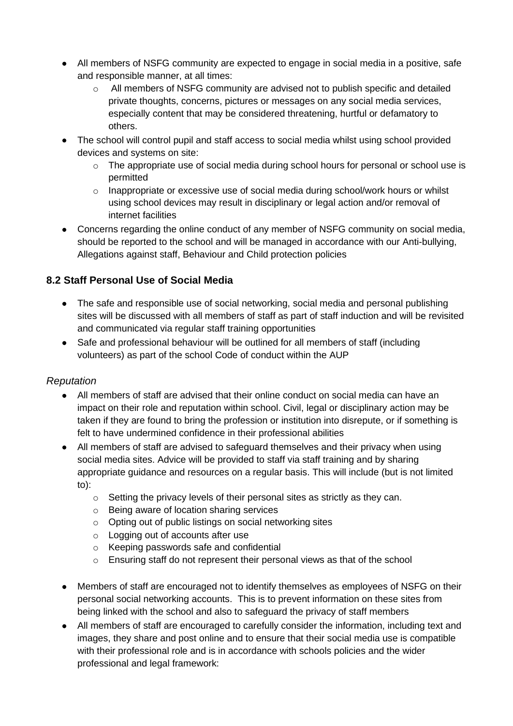- All members of NSFG community are expected to engage in social media in a positive, safe and responsible manner, at all times:
	- o All members of NSFG community are advised not to publish specific and detailed private thoughts, concerns, pictures or messages on any social media services, especially content that may be considered threatening, hurtful or defamatory to others.
- The school will control pupil and staff access to social media whilst using school provided devices and systems on site:
	- o The appropriate use of social media during school hours for personal or school use is permitted
	- $\circ$  Inappropriate or excessive use of social media during school/work hours or whilst using school devices may result in disciplinary or legal action and/or removal of internet facilities
- Concerns regarding the online conduct of any member of NSFG community on social media, should be reported to the school and will be managed in accordance with our Anti-bullying, Allegations against staff, Behaviour and Child protection policies

#### **8.2 Staff Personal Use of Social Media**

- The safe and responsible use of social networking, social media and personal publishing sites will be discussed with all members of staff as part of staff induction and will be revisited and communicated via regular staff training opportunities
- Safe and professional behaviour will be outlined for all members of staff (including volunteers) as part of the school Code of conduct within the AUP

#### *Reputation*

- All members of staff are advised that their online conduct on social media can have an impact on their role and reputation within school. Civil, legal or disciplinary action may be taken if they are found to bring the profession or institution into disrepute, or if something is felt to have undermined confidence in their professional abilities
- All members of staff are advised to safeguard themselves and their privacy when using social media sites. Advice will be provided to staff via staff training and by sharing appropriate guidance and resources on a regular basis. This will include (but is not limited to):
	- o Setting the privacy levels of their personal sites as strictly as they can.
	- o Being aware of location sharing services
	- o Opting out of public listings on social networking sites
	- o Logging out of accounts after use
	- o Keeping passwords safe and confidential
	- $\circ$  Ensuring staff do not represent their personal views as that of the school
- Members of staff are encouraged not to identify themselves as employees of NSFG on their personal social networking accounts. This is to prevent information on these sites from being linked with the school and also to safeguard the privacy of staff members
- All members of staff are encouraged to carefully consider the information, including text and images, they share and post online and to ensure that their social media use is compatible with their professional role and is in accordance with schools policies and the wider professional and legal framework: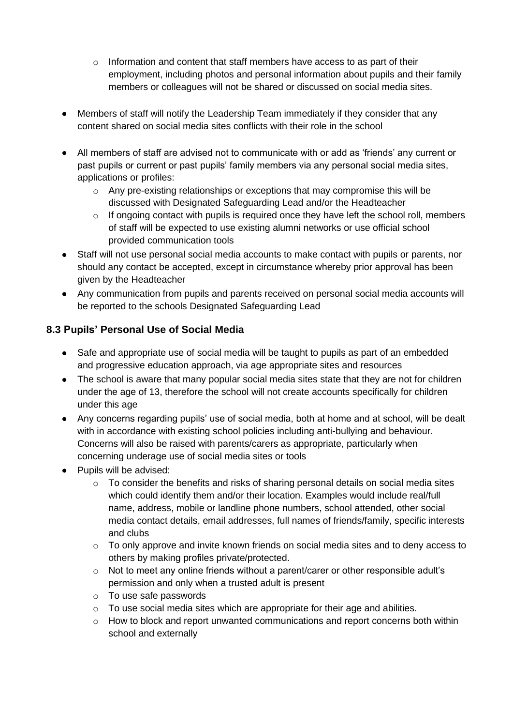- $\circ$  Information and content that staff members have access to as part of their employment, including photos and personal information about pupils and their family members or colleagues will not be shared or discussed on social media sites.
- Members of staff will notify the Leadership Team immediately if they consider that any content shared on social media sites conflicts with their role in the school
- All members of staff are advised not to communicate with or add as 'friends' any current or past pupils or current or past pupils' family members via any personal social media sites, applications or profiles:
	- $\circ$  Any pre-existing relationships or exceptions that may compromise this will be discussed with Designated Safeguarding Lead and/or the Headteacher
	- o If ongoing contact with pupils is required once they have left the school roll, members of staff will be expected to use existing alumni networks or use official school provided communication tools
- Staff will not use personal social media accounts to make contact with pupils or parents, nor should any contact be accepted, except in circumstance whereby prior approval has been given by the Headteacher
- Any communication from pupils and parents received on personal social media accounts will be reported to the schools Designated Safeguarding Lead

#### **8.3 Pupils' Personal Use of Social Media**

- Safe and appropriate use of social media will be taught to pupils as part of an embedded and progressive education approach, via age appropriate sites and resources
- The school is aware that many popular social media sites state that they are not for children under the age of 13, therefore the school will not create accounts specifically for children under this age
- Any concerns regarding pupils' use of social media, both at home and at school, will be dealt with in accordance with existing school policies including anti-bullying and behaviour. Concerns will also be raised with parents/carers as appropriate, particularly when concerning underage use of social media sites or tools
- Pupils will be advised:
	- o To consider the benefits and risks of sharing personal details on social media sites which could identify them and/or their location. Examples would include real/full name, address, mobile or landline phone numbers, school attended, other social media contact details, email addresses, full names of friends/family, specific interests and clubs
	- $\circ$  To only approve and invite known friends on social media sites and to deny access to others by making profiles private/protected.
	- $\circ$  Not to meet any online friends without a parent/carer or other responsible adult's permission and only when a trusted adult is present
	- o To use safe passwords
	- o To use social media sites which are appropriate for their age and abilities.
	- o How to block and report unwanted communications and report concerns both within school and externally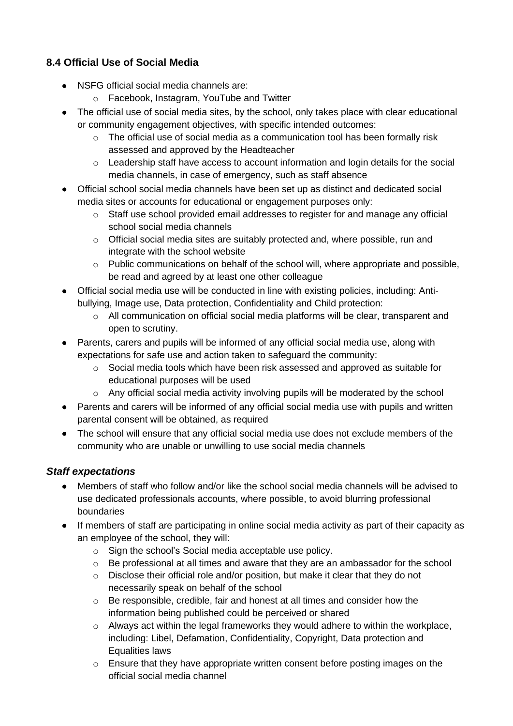#### **8.4 Official Use of Social Media**

- NSFG official social media channels are:
	- o Facebook, Instagram, YouTube and Twitter
- The official use of social media sites, by the school, only takes place with clear educational or community engagement objectives, with specific intended outcomes:
	- $\circ$  The official use of social media as a communication tool has been formally risk assessed and approved by the Headteacher
	- $\circ$  Leadership staff have access to account information and login details for the social media channels, in case of emergency, such as staff absence
- Official school social media channels have been set up as distinct and dedicated social media sites or accounts for educational or engagement purposes only:
	- o Staff use school provided email addresses to register for and manage any official school social media channels
	- $\circ$  Official social media sites are suitably protected and, where possible, run and integrate with the school website
	- o Public communications on behalf of the school will, where appropriate and possible, be read and agreed by at least one other colleague
- Official social media use will be conducted in line with existing policies, including: Antibullying, Image use, Data protection, Confidentiality and Child protection:
	- o All communication on official social media platforms will be clear, transparent and open to scrutiny.
- Parents, carers and pupils will be informed of any official social media use, along with expectations for safe use and action taken to safeguard the community:
	- $\circ$  Social media tools which have been risk assessed and approved as suitable for educational purposes will be used
	- $\circ$  Any official social media activity involving pupils will be moderated by the school
- Parents and carers will be informed of any official social media use with pupils and written parental consent will be obtained, as required
- The school will ensure that any official social media use does not exclude members of the community who are unable or unwilling to use social media channels

#### *Staff expectations*

- Members of staff who follow and/or like the school social media channels will be advised to use dedicated professionals accounts, where possible, to avoid blurring professional boundaries
- If members of staff are participating in online social media activity as part of their capacity as an employee of the school, they will:
	- o Sign the school's Social media acceptable use policy.
	- $\circ$  Be professional at all times and aware that they are an ambassador for the school
	- $\circ$  Disclose their official role and/or position, but make it clear that they do not necessarily speak on behalf of the school
	- $\circ$  Be responsible, credible, fair and honest at all times and consider how the information being published could be perceived or shared
	- o Always act within the legal frameworks they would adhere to within the workplace, including: Libel, Defamation, Confidentiality, Copyright, Data protection and Equalities laws
	- $\circ$  Ensure that they have appropriate written consent before posting images on the official social media channel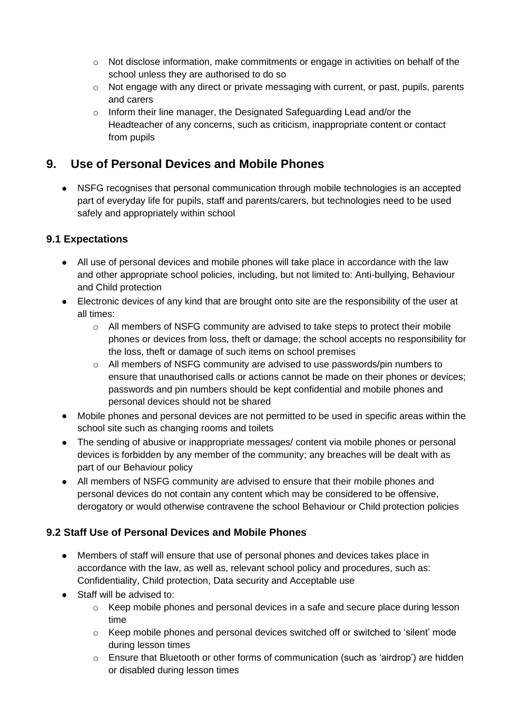- $\circ$  Not disclose information, make commitments or engage in activities on behalf of the school unless they are authorised to do so
- o Not engage with any direct or private messaging with current, or past, pupils, parents and carers
- o Inform their line manager, the Designated Safeguarding Lead and/or the Headteacher of any concerns, such as criticism, inappropriate content or contact from pupils

## **9. Use of Personal Devices and Mobile Phones**

• NSFG recognises that personal communication through mobile technologies is an accepted part of everyday life for pupils, staff and parents/carers, but technologies need to be used safely and appropriately within school

#### **9.1 Expectations**

- All use of personal devices and mobile phones will take place in accordance with the law and other appropriate school policies, including, but not limited to: Anti-bullying, Behaviour and Child protection
- Electronic devices of any kind that are brought onto site are the responsibility of the user at all times:
	- o All members of NSFG community are advised to take steps to protect their mobile phones or devices from loss, theft or damage; the school accepts no responsibility for the loss, theft or damage of such items on school premises
	- o All members of NSFG community are advised to use passwords/pin numbers to ensure that unauthorised calls or actions cannot be made on their phones or devices; passwords and pin numbers should be kept confidential and mobile phones and personal devices should not be shared
- Mobile phones and personal devices are not permitted to be used in specific areas within the school site such as changing rooms and toilets
- The sending of abusive or inappropriate messages/ content via mobile phones or personal devices is forbidden by any member of the community; any breaches will be dealt with as part of our Behaviour policy
- All members of NSFG community are advised to ensure that their mobile phones and personal devices do not contain any content which may be considered to be offensive, derogatory or would otherwise contravene the school Behaviour or Child protection policies

#### **9.2 Staff Use of Personal Devices and Mobile Phones**

- Members of staff will ensure that use of personal phones and devices takes place in accordance with the law, as well as, relevant school policy and procedures, such as: Confidentiality, Child protection, Data security and Acceptable use
- Staff will be advised to:
	- o Keep mobile phones and personal devices in a safe and secure place during lesson time
	- $\circ$  Keep mobile phones and personal devices switched off or switched to 'silent' mode during lesson times
	- $\circ$  Ensure that Bluetooth or other forms of communication (such as 'airdrop') are hidden or disabled during lesson times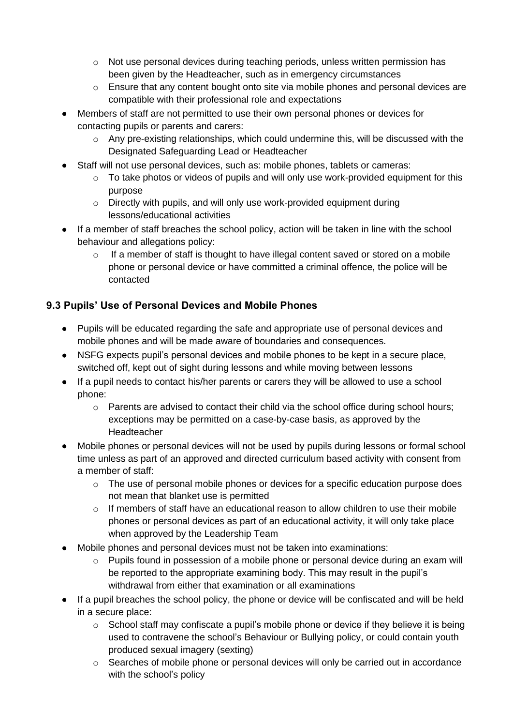- $\circ$  Not use personal devices during teaching periods, unless written permission has been given by the Headteacher, such as in emergency circumstances
- $\circ$  Ensure that any content bought onto site via mobile phones and personal devices are compatible with their professional role and expectations
- Members of staff are not permitted to use their own personal phones or devices for contacting pupils or parents and carers:
	- o Any pre-existing relationships, which could undermine this, will be discussed with the Designated Safeguarding Lead or Headteacher
- Staff will not use personal devices, such as: mobile phones, tablets or cameras:
	- o To take photos or videos of pupils and will only use work-provided equipment for this purpose
	- o Directly with pupils, and will only use work-provided equipment during lessons/educational activities
- If a member of staff breaches the school policy, action will be taken in line with the school behaviour and allegations policy:
	- $\circ$  If a member of staff is thought to have illegal content saved or stored on a mobile phone or personal device or have committed a criminal offence, the police will be contacted

#### **9.3 Pupils' Use of Personal Devices and Mobile Phones**

- Pupils will be educated regarding the safe and appropriate use of personal devices and mobile phones and will be made aware of boundaries and consequences.
- NSFG expects pupil's personal devices and mobile phones to be kept in a secure place, switched off, kept out of sight during lessons and while moving between lessons
- If a pupil needs to contact his/her parents or carers they will be allowed to use a school phone:
	- $\circ$  Parents are advised to contact their child via the school office during school hours; exceptions may be permitted on a case-by-case basis, as approved by the Headteacher
- Mobile phones or personal devices will not be used by pupils during lessons or formal school time unless as part of an approved and directed curriculum based activity with consent from a member of staff:
	- o The use of personal mobile phones or devices for a specific education purpose does not mean that blanket use is permitted
	- $\circ$  If members of staff have an educational reason to allow children to use their mobile phones or personal devices as part of an educational activity, it will only take place when approved by the Leadership Team
- Mobile phones and personal devices must not be taken into examinations:
	- o Pupils found in possession of a mobile phone or personal device during an exam will be reported to the appropriate examining body. This may result in the pupil's withdrawal from either that examination or all examinations
- If a pupil breaches the school policy, the phone or device will be confiscated and will be held in a secure place:
	- $\circ$  School staff may confiscate a pupil's mobile phone or device if they believe it is being used to contravene the school's Behaviour or Bullying policy, or could contain youth produced sexual imagery (sexting)
	- o Searches of mobile phone or personal devices will only be carried out in accordance with the school's policy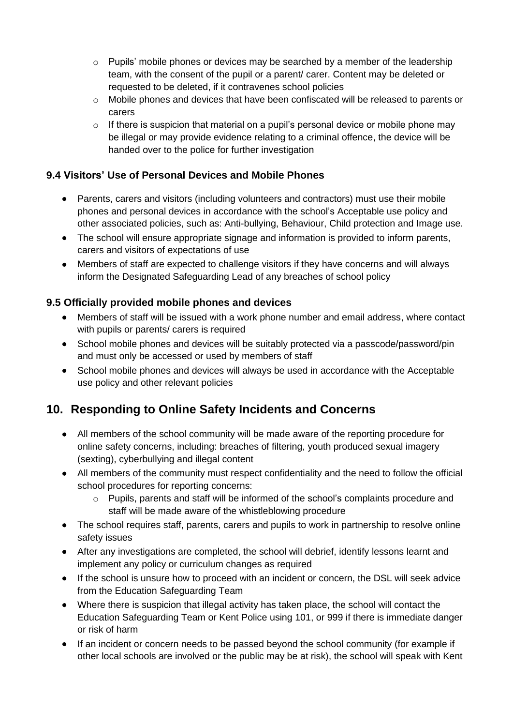- o Pupils' mobile phones or devices may be searched by a member of the leadership team, with the consent of the pupil or a parent/ carer. Content may be deleted or requested to be deleted, if it contravenes school policies
- o Mobile phones and devices that have been confiscated will be released to parents or carers
- $\circ$  If there is suspicion that material on a pupil's personal device or mobile phone may be illegal or may provide evidence relating to a criminal offence, the device will be handed over to the police for further investigation

#### **9.4 Visitors' Use of Personal Devices and Mobile Phones**

- Parents, carers and visitors (including volunteers and contractors) must use their mobile phones and personal devices in accordance with the school's Acceptable use policy and other associated policies, such as: Anti-bullying, Behaviour, Child protection and Image use.
- The school will ensure appropriate signage and information is provided to inform parents, carers and visitors of expectations of use
- Members of staff are expected to challenge visitors if they have concerns and will always inform the Designated Safeguarding Lead of any breaches of school policy

#### **9.5 Officially provided mobile phones and devices**

- Members of staff will be issued with a work phone number and email address, where contact with pupils or parents/ carers is required
- School mobile phones and devices will be suitably protected via a passcode/password/pin and must only be accessed or used by members of staff
- School mobile phones and devices will always be used in accordance with the Acceptable use policy and other relevant policies

## **10. Responding to Online Safety Incidents and Concerns**

- All members of the school community will be made aware of the reporting procedure for online safety concerns, including: breaches of filtering, youth produced sexual imagery (sexting), cyberbullying and illegal content
- All members of the community must respect confidentiality and the need to follow the official school procedures for reporting concerns:
	- $\circ$  Pupils, parents and staff will be informed of the school's complaints procedure and staff will be made aware of the whistleblowing procedure
- The school requires staff, parents, carers and pupils to work in partnership to resolve online safety issues
- After any investigations are completed, the school will debrief, identify lessons learnt and implement any policy or curriculum changes as required
- If the school is unsure how to proceed with an incident or concern, the DSL will seek advice from the Education Safeguarding Team
- Where there is suspicion that illegal activity has taken place, the school will contact the Education Safeguarding Team or Kent Police using 101, or 999 if there is immediate danger or risk of harm
- If an incident or concern needs to be passed beyond the school community (for example if other local schools are involved or the public may be at risk), the school will speak with Kent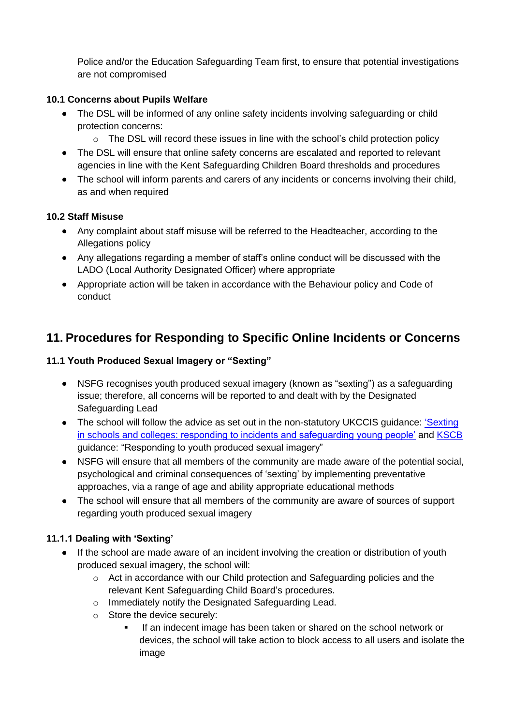Police and/or the Education Safeguarding Team first, to ensure that potential investigations are not compromised

#### **10.1 Concerns about Pupils Welfare**

- The DSL will be informed of any online safety incidents involving safeguarding or child protection concerns:
	- o The DSL will record these issues in line with the school's child protection policy
- The DSL will ensure that online safety concerns are escalated and reported to relevant agencies in line with the Kent Safeguarding Children Board thresholds and procedures
- The school will inform parents and carers of any incidents or concerns involving their child, as and when required

#### **10.2 Staff Misuse**

- Any complaint about staff misuse will be referred to the Headteacher, according to the Allegations policy
- Any allegations regarding a member of staff's online conduct will be discussed with the LADO (Local Authority Designated Officer) where appropriate
- Appropriate action will be taken in accordance with the Behaviour policy and Code of conduct

## **11. Procedures for Responding to Specific Online Incidents or Concerns**

#### **11.1 Youth Produced Sexual Imagery or "Sexting"**

- NSFG recognises youth produced sexual imagery (known as "sexting") as a safeguarding issue; therefore, all concerns will be reported to and dealt with by the Designated Safeguarding Lead
- The school will follow the advice as set out in the non-statutory UKCCIS quidance: 'Sexting' [in schools and colleges: responding to incidents and safeguarding young people'](https://www.gov.uk/government/groups/uk-council-for-child-internet-safety-ukccis) and [KSCB](http://www.kscb.org.uk/guidance/online-safety) guidance: "Responding to youth produced sexual imagery"
- NSFG will ensure that all members of the community are made aware of the potential social, psychological and criminal consequences of 'sexting' by implementing preventative approaches, via a range of age and ability appropriate educational methods
- The school will ensure that all members of the community are aware of sources of support regarding youth produced sexual imagery

#### **11.1.1 Dealing with 'Sexting'**

- If the school are made aware of an incident involving the creation or distribution of youth produced sexual imagery, the school will:
	- $\circ$  Act in accordance with our Child protection and Safeguarding policies and the relevant Kent Safeguarding Child Board's procedures.
	- o Immediately notify the Designated Safeguarding Lead.
	- o Store the device securely:
		- If an indecent image has been taken or shared on the school network or devices, the school will take action to block access to all users and isolate the image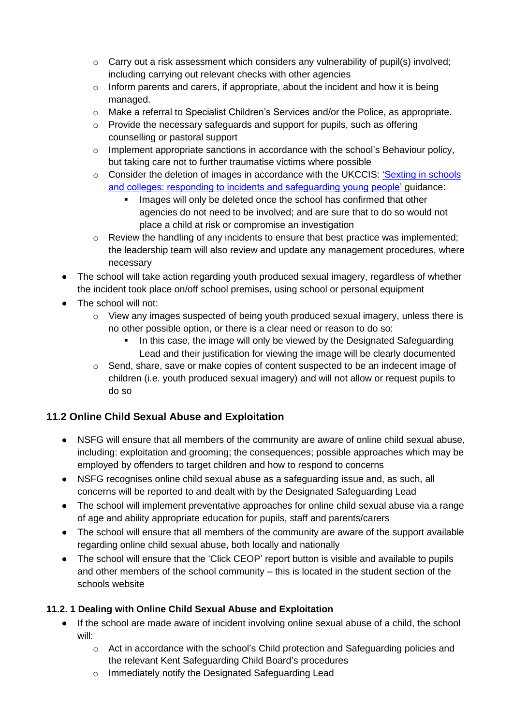- $\circ$  Carry out a risk assessment which considers any vulnerability of pupil(s) involved; including carrying out relevant checks with other agencies
- $\circ$  Inform parents and carers, if appropriate, about the incident and how it is being managed.
- $\circ$  Make a referral to Specialist Children's Services and/or the Police, as appropriate.
- o Provide the necessary safeguards and support for pupils, such as offering counselling or pastoral support
- $\circ$  Implement appropriate sanctions in accordance with the school's Behaviour policy, but taking care not to further traumatise victims where possible
- o Consider the deletion of images in accordance with the UKCCIS: ['Sexting in schools](https://www.gov.uk/government/groups/uk-council-for-child-internet-safety-ukccis)  [and colleges: responding to incidents and safeguarding young people'](https://www.gov.uk/government/groups/uk-council-for-child-internet-safety-ukccis) guidance:
	- **.** Images will only be deleted once the school has confirmed that other agencies do not need to be involved; and are sure that to do so would not place a child at risk or compromise an investigation
- $\circ$  Review the handling of any incidents to ensure that best practice was implemented; the leadership team will also review and update any management procedures, where necessary
- The school will take action regarding youth produced sexual imagery, regardless of whether the incident took place on/off school premises, using school or personal equipment
- The school will not:
	- o View any images suspected of being youth produced sexual imagery, unless there is no other possible option, or there is a clear need or reason to do so:
		- **•** In this case, the image will only be viewed by the Designated Safeguarding Lead and their justification for viewing the image will be clearly documented
	- o Send, share, save or make copies of content suspected to be an indecent image of children (i.e. youth produced sexual imagery) and will not allow or request pupils to do so

#### **11.2 Online Child Sexual Abuse and Exploitation**

- NSFG will ensure that all members of the community are aware of online child sexual abuse, including: exploitation and grooming; the consequences; possible approaches which may be employed by offenders to target children and how to respond to concerns
- NSFG recognises online child sexual abuse as a safeguarding issue and, as such, all concerns will be reported to and dealt with by the Designated Safeguarding Lead
- The school will implement preventative approaches for online child sexual abuse via a range of age and ability appropriate education for pupils, staff and parents/carers
- The school will ensure that all members of the community are aware of the support available regarding online child sexual abuse, both locally and nationally
- The school will ensure that the 'Click CEOP' report button is visible and available to pupils and other members of the school community – this is located in the student section of the schools website

#### **11.2. 1 Dealing with Online Child Sexual Abuse and Exploitation**

- If the school are made aware of incident involving online sexual abuse of a child, the school will:
	- $\circ$  Act in accordance with the school's Child protection and Safeguarding policies and the relevant Kent Safeguarding Child Board's procedures
	- o Immediately notify the Designated Safeguarding Lead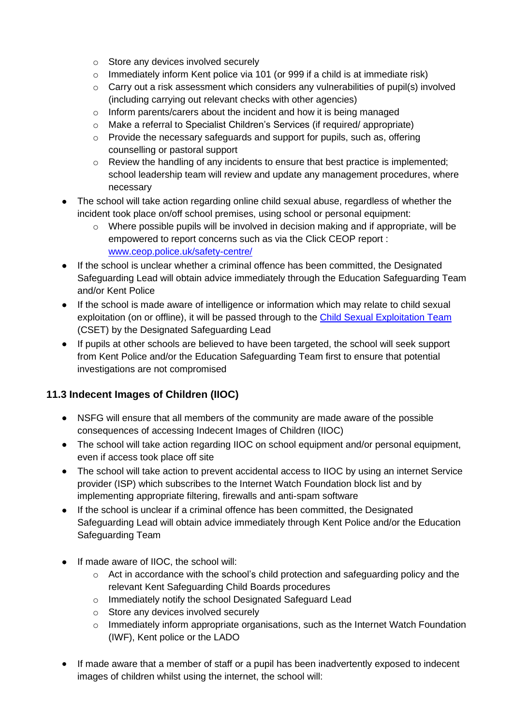- o Store any devices involved securely
- $\circ$  Immediately inform Kent police via 101 (or 999 if a child is at immediate risk)
- $\circ$  Carry out a risk assessment which considers any vulnerabilities of pupil(s) involved (including carrying out relevant checks with other agencies)
- o Inform parents/carers about the incident and how it is being managed
- o Make a referral to Specialist Children's Services (if required/ appropriate)
- o Provide the necessary safeguards and support for pupils, such as, offering counselling or pastoral support
- $\circ$  Review the handling of any incidents to ensure that best practice is implemented; school leadership team will review and update any management procedures, where necessary
- The school will take action regarding online child sexual abuse, regardless of whether the incident took place on/off school premises, using school or personal equipment:
	- o Where possible pupils will be involved in decision making and if appropriate, will be empowered to report concerns such as via the Click CEOP report : [www.ceop.police.uk/safety-centre/](http://www.ceop.police.uk/safety-centre/)
- If the school is unclear whether a criminal offence has been committed, the Designated Safeguarding Lead will obtain advice immediately through the Education Safeguarding Team and/or Kent Police
- If the school is made aware of intelligence or information which may relate to child sexual exploitation (on or offline), it will be passed through to the [Child Sexual Exploitation Team](https://www.kent.police.uk/childabuse/) (CSET) by the Designated Safeguarding Lead
- If pupils at other schools are believed to have been targeted, the school will seek support from Kent Police and/or the Education Safeguarding Team first to ensure that potential investigations are not compromised

## **11.3 Indecent Images of Children (IIOC)**

- NSFG will ensure that all members of the community are made aware of the possible consequences of accessing Indecent Images of Children (IIOC)
- The school will take action regarding IIOC on school equipment and/or personal equipment, even if access took place off site
- The school will take action to prevent accidental access to IIOC by using an internet Service provider (ISP) which subscribes to the Internet Watch Foundation block list and by implementing appropriate filtering, firewalls and anti-spam software
- If the school is unclear if a criminal offence has been committed, the Designated Safeguarding Lead will obtain advice immediately through Kent Police and/or the Education Safeguarding Team
- If made aware of IIOC, the school will:
	- $\circ$  Act in accordance with the school's child protection and safeguarding policy and the relevant Kent Safeguarding Child Boards procedures
	- o Immediately notify the school Designated Safeguard Lead
	- o Store any devices involved securely
	- o Immediately inform appropriate organisations, such as the Internet Watch Foundation (IWF), Kent police or the LADO
- If made aware that a member of staff or a pupil has been inadvertently exposed to indecent images of children whilst using the internet, the school will: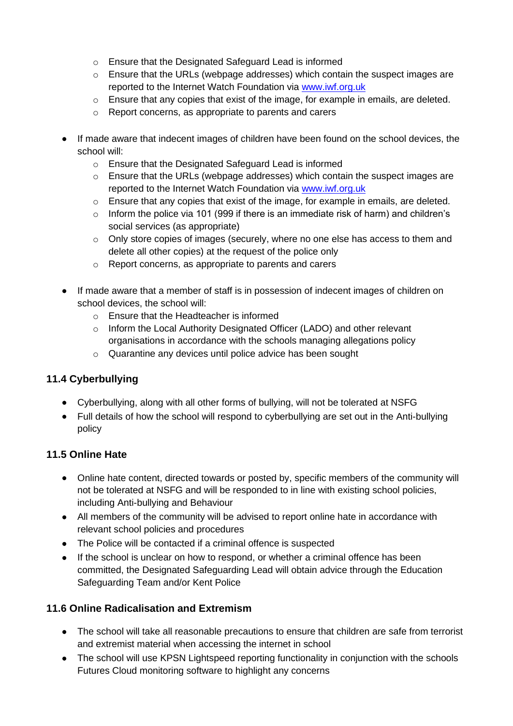- o Ensure that the Designated Safeguard Lead is informed
- $\circ$  Ensure that the URLs (webpage addresses) which contain the suspect images are reported to the Internet Watch Foundation via [www.iwf.org.uk](https://www.iwf.org.uk/)
- $\circ$  Ensure that any copies that exist of the image, for example in emails, are deleted.
- o Report concerns, as appropriate to parents and carers
- If made aware that indecent images of children have been found on the school devices, the school will:
	- o Ensure that the Designated Safeguard Lead is informed
	- $\circ$  Ensure that the URLs (webpage addresses) which contain the suspect images are reported to the Internet Watch Foundation via [www.iwf.org.uk](https://www.iwf.org.uk/)
	- $\circ$  Ensure that any copies that exist of the image, for example in emails, are deleted.
	- o Inform the police via 101 (999 if there is an immediate risk of harm) and children's social services (as appropriate)
	- $\circ$  Only store copies of images (securely, where no one else has access to them and delete all other copies) at the request of the police only
	- o Report concerns, as appropriate to parents and carers
- If made aware that a member of staff is in possession of indecent images of children on school devices, the school will:
	- o Ensure that the Headteacher is informed
	- o Inform the Local Authority Designated Officer (LADO) and other relevant organisations in accordance with the schools managing allegations policy
	- o Quarantine any devices until police advice has been sought

#### **11.4 Cyberbullying**

- Cyberbullying, along with all other forms of bullying, will not be tolerated at NSFG
- Full details of how the school will respond to cyberbullying are set out in the Anti-bullying policy

#### **11.5 Online Hate**

- Online hate content, directed towards or posted by, specific members of the community will not be tolerated at NSFG and will be responded to in line with existing school policies, including Anti-bullying and Behaviour
- All members of the community will be advised to report online hate in accordance with relevant school policies and procedures
- The Police will be contacted if a criminal offence is suspected
- If the school is unclear on how to respond, or whether a criminal offence has been committed, the Designated Safeguarding Lead will obtain advice through the Education Safeguarding Team and/or Kent Police

#### **11.6 Online Radicalisation and Extremism**

- The school will take all reasonable precautions to ensure that children are safe from terrorist and extremist material when accessing the internet in school
- The school will use KPSN Lightspeed reporting functionality in conjunction with the schools Futures Cloud monitoring software to highlight any concerns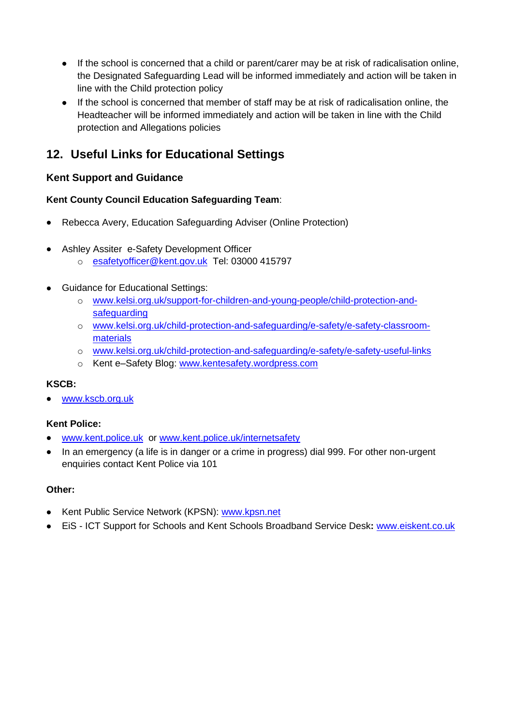- If the school is concerned that a child or parent/carer may be at risk of radicalisation online, the Designated Safeguarding Lead will be informed immediately and action will be taken in line with the Child protection policy
- If the school is concerned that member of staff may be at risk of radicalisation online, the Headteacher will be informed immediately and action will be taken in line with the Child protection and Allegations policies

## **12. Useful Links for Educational Settings**

#### **Kent Support and Guidance**

#### **Kent County Council Education Safeguarding Team**:

- Rebecca Avery, Education Safeguarding Adviser (Online Protection)
- Ashley Assiter e-Safety Development Officer
	- o [esafetyofficer@kent.gov.uk](mailto:esafetyofficer@kent.gov.uk) Tel: 03000 415797
- Guidance for Educational Settings:
	- o [www.kelsi.org.uk/support-for-children-and-young-people/child-protection-and](http://www.kelsi.org.uk/support-for-children-and-young-people/child-protection-and-safeguarding)[safeguarding](http://www.kelsi.org.uk/support-for-children-and-young-people/child-protection-and-safeguarding)
	- o [www.kelsi.org.uk/child-protection-and-safeguarding/e-safety/e-safety-classroom](http://www.kelsi.org.uk/child-protection-and-safeguarding/e-safety/e-safety-classroom-materials)[materials](http://www.kelsi.org.uk/child-protection-and-safeguarding/e-safety/e-safety-classroom-materials)
	- o [www.kelsi.org.uk/child-protection-and-safeguarding/e-safety/e-safety-useful-links](http://www.kelsi.org.uk/child-protection-and-safeguarding/e-safety/e-safety-useful-links)
	- o Kent e–Safety Blog: [www.kentesafety.wordpress.com](http://www.kentesafety.wordpress.com/)

#### **KSCB:**

[www.kscb.org.uk](http://www.kscb.org.uk/)

#### **Kent Police:**

- [www.kent.police.uk](http://www.kent.police.uk/) or [www.kent.police.uk/internetsafety](http://www.kent.police.uk/internetsafety)
- In an emergency (a life is in danger or a crime in progress) dial 999. For other non-urgent enquiries contact Kent Police via 101

#### **Other:**

- Kent Public Service Network (KPSN): [www.kpsn.net](http://www.kpsn.net/)
- EiS ICT Support for Schools and Kent Schools Broadband Service Desk**:** [www.eiskent.co.uk](http://www.eiskent.co.uk/)